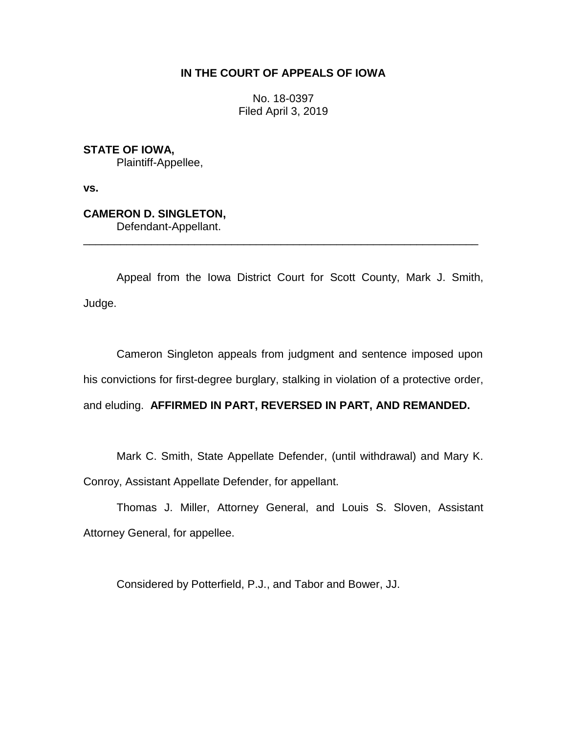## **IN THE COURT OF APPEALS OF IOWA**

No. 18-0397 Filed April 3, 2019

**STATE OF IOWA,** Plaintiff-Appellee,

**vs.**

## **CAMERON D. SINGLETON,**

Defendant-Appellant.

Appeal from the Iowa District Court for Scott County, Mark J. Smith, Judge.

\_\_\_\_\_\_\_\_\_\_\_\_\_\_\_\_\_\_\_\_\_\_\_\_\_\_\_\_\_\_\_\_\_\_\_\_\_\_\_\_\_\_\_\_\_\_\_\_\_\_\_\_\_\_\_\_\_\_\_\_\_\_\_\_

Cameron Singleton appeals from judgment and sentence imposed upon his convictions for first-degree burglary, stalking in violation of a protective order, and eluding. **AFFIRMED IN PART, REVERSED IN PART, AND REMANDED.**

Mark C. Smith, State Appellate Defender, (until withdrawal) and Mary K. Conroy, Assistant Appellate Defender, for appellant.

Thomas J. Miller, Attorney General, and Louis S. Sloven, Assistant Attorney General, for appellee.

Considered by Potterfield, P.J., and Tabor and Bower, JJ.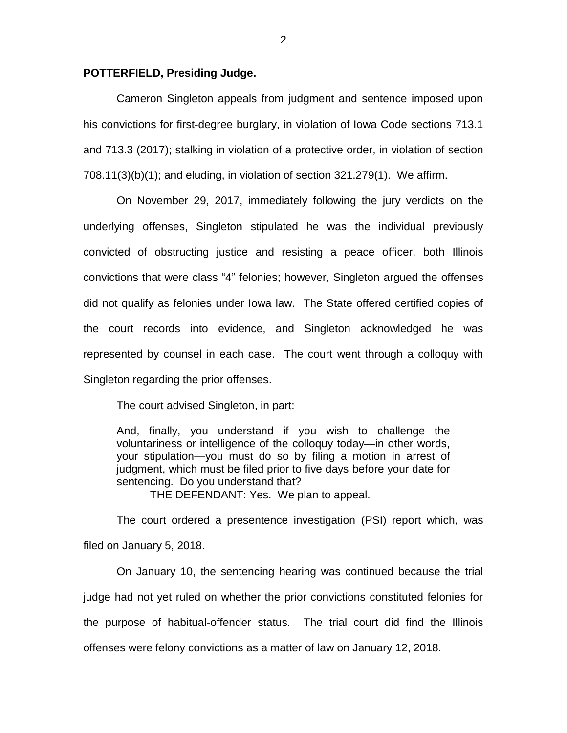## **POTTERFIELD, Presiding Judge.**

Cameron Singleton appeals from judgment and sentence imposed upon his convictions for first-degree burglary, in violation of Iowa Code sections 713.1 and 713.3 (2017); stalking in violation of a protective order, in violation of section 708.11(3)(b)(1); and eluding, in violation of section 321.279(1). We affirm.

On November 29, 2017, immediately following the jury verdicts on the underlying offenses, Singleton stipulated he was the individual previously convicted of obstructing justice and resisting a peace officer, both Illinois convictions that were class "4" felonies; however, Singleton argued the offenses did not qualify as felonies under Iowa law. The State offered certified copies of the court records into evidence, and Singleton acknowledged he was represented by counsel in each case. The court went through a colloquy with Singleton regarding the prior offenses.

The court advised Singleton, in part:

And, finally, you understand if you wish to challenge the voluntariness or intelligence of the colloquy today—in other words, your stipulation—you must do so by filing a motion in arrest of judgment, which must be filed prior to five days before your date for sentencing. Do you understand that?

THE DEFENDANT: Yes. We plan to appeal.

The court ordered a presentence investigation (PSI) report which, was filed on January 5, 2018.

On January 10, the sentencing hearing was continued because the trial judge had not yet ruled on whether the prior convictions constituted felonies for the purpose of habitual-offender status. The trial court did find the Illinois offenses were felony convictions as a matter of law on January 12, 2018.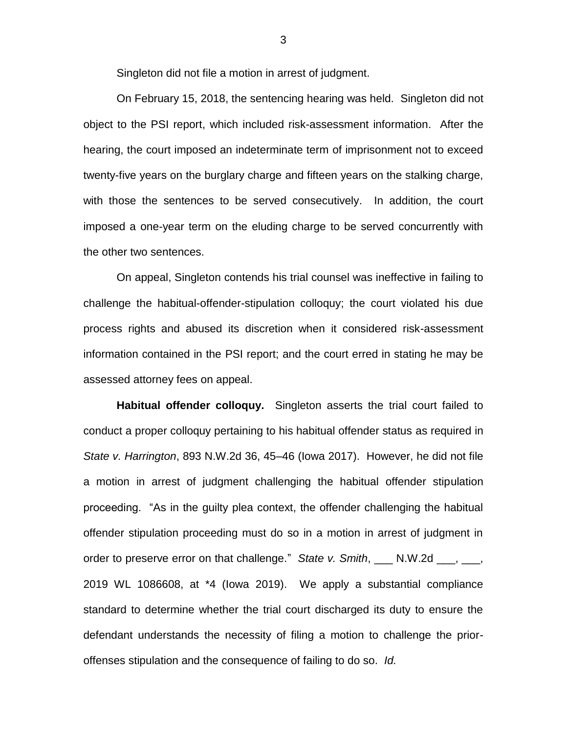Singleton did not file a motion in arrest of judgment.

On February 15, 2018, the sentencing hearing was held. Singleton did not object to the PSI report, which included risk-assessment information. After the hearing, the court imposed an indeterminate term of imprisonment not to exceed twenty-five years on the burglary charge and fifteen years on the stalking charge, with those the sentences to be served consecutively. In addition, the court imposed a one-year term on the eluding charge to be served concurrently with the other two sentences.

On appeal, Singleton contends his trial counsel was ineffective in failing to challenge the habitual-offender-stipulation colloquy; the court violated his due process rights and abused its discretion when it considered risk-assessment information contained in the PSI report; and the court erred in stating he may be assessed attorney fees on appeal.

**Habitual offender colloquy.** Singleton asserts the trial court failed to conduct a proper colloquy pertaining to his habitual offender status as required in *State v. Harrington*, 893 N.W.2d 36, 45–46 (Iowa 2017). However, he did not file a motion in arrest of judgment challenging the habitual offender stipulation proceeding. "As in the guilty plea context, the offender challenging the habitual offender stipulation proceeding must do so in a motion in arrest of judgment in order to preserve error on that challenge." *State v. Smith*, \_\_\_ N.W.2d \_\_\_, \_\_\_, 2019 WL 1086608, at \*4 (Iowa 2019). We apply a substantial compliance standard to determine whether the trial court discharged its duty to ensure the defendant understands the necessity of filing a motion to challenge the prioroffenses stipulation and the consequence of failing to do so. *Id.* 

3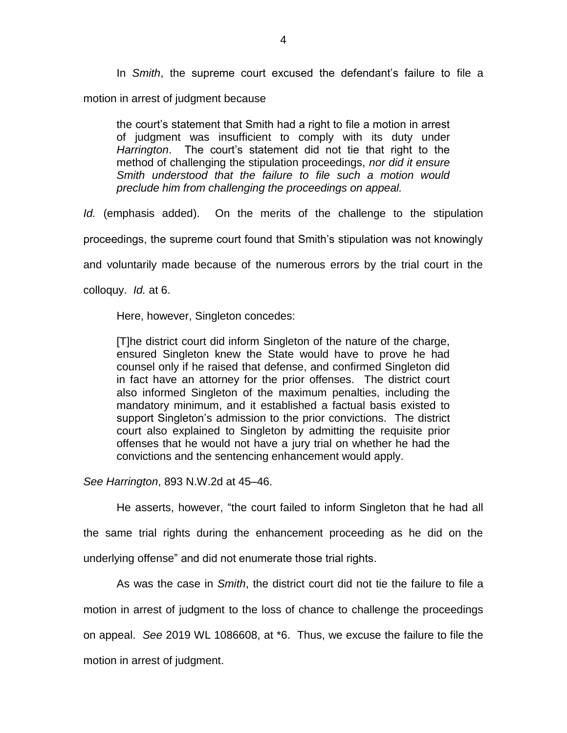In *Smith*, the supreme court excused the defendant's failure to file a motion in arrest of judgment because

the court's statement that Smith had a right to file a motion in arrest of judgment was insufficient to comply with its duty under *Harrington*. The court's statement did not tie that right to the method of challenging the stipulation proceedings, *nor did it ensure Smith understood that the failure to file such a motion would preclude him from challenging the proceedings on appeal.*

*Id.* (emphasis added). On the merits of the challenge to the stipulation

proceedings, the supreme court found that Smith's stipulation was not knowingly

and voluntarily made because of the numerous errors by the trial court in the

colloquy. *Id.* at 6.

Here, however, Singleton concedes:

[T]he district court did inform Singleton of the nature of the charge, ensured Singleton knew the State would have to prove he had counsel only if he raised that defense, and confirmed Singleton did in fact have an attorney for the prior offenses. The district court also informed Singleton of the maximum penalties, including the mandatory minimum, and it established a factual basis existed to support Singleton's admission to the prior convictions. The district court also explained to Singleton by admitting the requisite prior offenses that he would not have a jury trial on whether he had the convictions and the sentencing enhancement would apply.

*See Harrington*, 893 N.W.2d at 45–46.

He asserts, however, "the court failed to inform Singleton that he had all

the same trial rights during the enhancement proceeding as he did on the underlying offense" and did not enumerate those trial rights.

As was the case in *Smith*, the district court did not tie the failure to file a motion in arrest of judgment to the loss of chance to challenge the proceedings on appeal. *See* 2019 WL 1086608, at \*6. Thus, we excuse the failure to file the motion in arrest of judgment.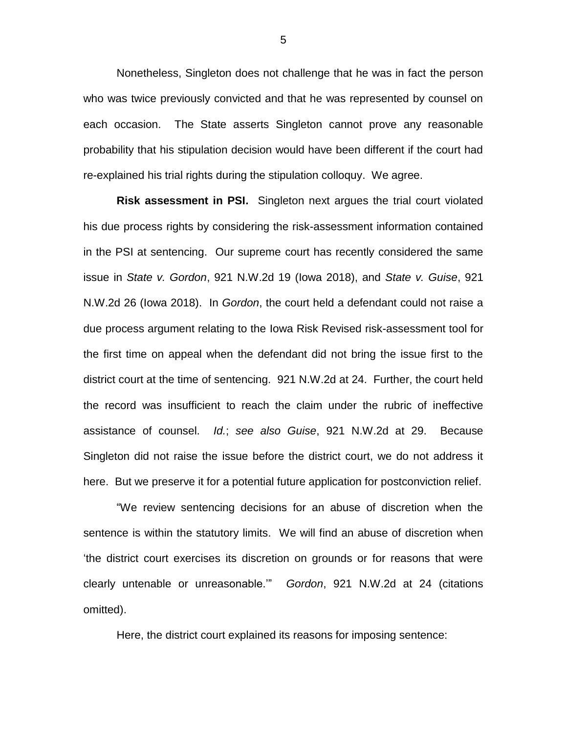Nonetheless, Singleton does not challenge that he was in fact the person who was twice previously convicted and that he was represented by counsel on each occasion. The State asserts Singleton cannot prove any reasonable probability that his stipulation decision would have been different if the court had re-explained his trial rights during the stipulation colloquy. We agree.

**Risk assessment in PSI.** Singleton next argues the trial court violated his due process rights by considering the risk-assessment information contained in the PSI at sentencing. Our supreme court has recently considered the same issue in *State v. Gordon*, 921 N.W.2d 19 (Iowa 2018), and *State v. Guise*, 921 N.W.2d 26 (Iowa 2018). In *Gordon*, the court held a defendant could not raise a due process argument relating to the Iowa Risk Revised risk-assessment tool for the first time on appeal when the defendant did not bring the issue first to the district court at the time of sentencing. 921 N.W.2d at 24. Further, the court held the record was insufficient to reach the claim under the rubric of ineffective assistance of counsel. *Id.*; *see also Guise*, 921 N.W.2d at 29. Because Singleton did not raise the issue before the district court, we do not address it here. But we preserve it for a potential future application for postconviction relief.

"We review sentencing decisions for an abuse of discretion when the sentence is within the statutory limits. We will find an abuse of discretion when 'the district court exercises its discretion on grounds or for reasons that were clearly untenable or unreasonable.'" *Gordon*, 921 N.W.2d at 24 (citations omitted).

Here, the district court explained its reasons for imposing sentence: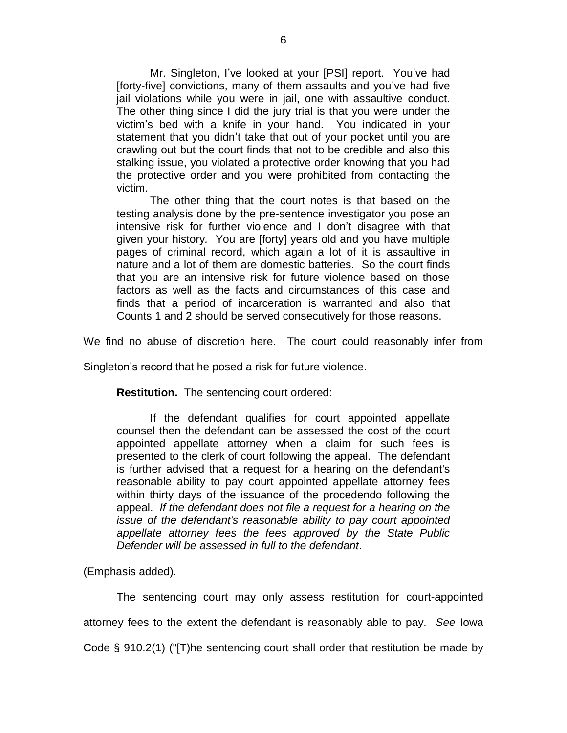Mr. Singleton, I've looked at your [PSI] report. You've had [forty-five] convictions, many of them assaults and you've had five jail violations while you were in jail, one with assaultive conduct. The other thing since I did the jury trial is that you were under the victim's bed with a knife in your hand. You indicated in your statement that you didn't take that out of your pocket until you are crawling out but the court finds that not to be credible and also this stalking issue, you violated a protective order knowing that you had the protective order and you were prohibited from contacting the victim.

The other thing that the court notes is that based on the testing analysis done by the pre-sentence investigator you pose an intensive risk for further violence and I don't disagree with that given your history*.* You are [forty] years old and you have multiple pages of criminal record, which again a lot of it is assaultive in nature and a lot of them are domestic batteries. So the court finds that you are an intensive risk for future violence based on those factors as well as the facts and circumstances of this case and finds that a period of incarceration is warranted and also that Counts 1 and 2 should be served consecutively for those reasons.

We find no abuse of discretion here. The court could reasonably infer from

Singleton's record that he posed a risk for future violence.

**Restitution.** The sentencing court ordered:

If the defendant qualifies for court appointed appellate counsel then the defendant can be assessed the cost of the court appointed appellate attorney when a claim for such fees is presented to the clerk of court following the appeal. The defendant is further advised that a request for a hearing on the defendant's reasonable ability to pay court appointed appellate attorney fees within thirty days of the issuance of the procedendo following the appeal. *If the defendant does not file a request for a hearing on the issue of the defendant's reasonable ability to pay court appointed appellate attorney fees the fees approved by the State Public Defender will be assessed in full to the defendant*.

(Emphasis added).

The sentencing court may only assess restitution for court-appointed attorney fees to the extent the defendant is reasonably able to pay. *See* Iowa Code § 910.2(1) ("[T)he sentencing court shall order that restitution be made by